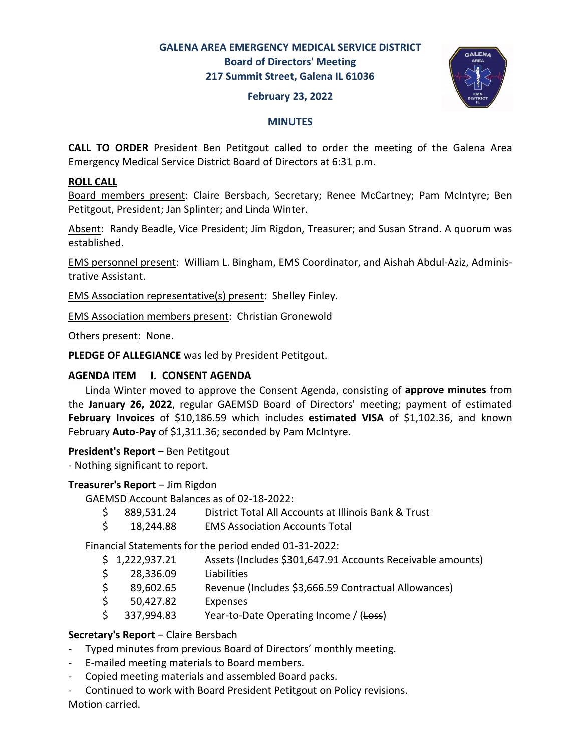# GALENA AREA EMERGENCY MEDICAL SERVICE DISTRICT Board of Directors' Meeting 217 Summit Street, Galena IL 61036

## February 23, 2022



#### **MINUTES**

CALL TO ORDER President Ben Petitgout called to order the meeting of the Galena Area Emergency Medical Service District Board of Directors at 6:31 p.m.

## ROLL CALL

Board members present: Claire Bersbach, Secretary; Renee McCartney; Pam McIntyre; Ben Petitgout, President; Jan Splinter; and Linda Winter.

Absent: Randy Beadle, Vice President; Jim Rigdon, Treasurer; and Susan Strand. A quorum was established.

EMS personnel present: William L. Bingham, EMS Coordinator, and Aishah Abdul-Aziz, Administrative Assistant.

EMS Association representative(s) present: Shelley Finley.

EMS Association members present: Christian Gronewold

Others present: None.

PLEDGE OF ALLEGIANCE was led by President Petitgout.

## AGENDA ITEM I. CONSENT AGENDA

Linda Winter moved to approve the Consent Agenda, consisting of approve minutes from the January 26, 2022, regular GAEMSD Board of Directors' meeting; payment of estimated February Invoices of \$10,186.59 which includes estimated VISA of \$1,102.36, and known February Auto-Pay of \$1,311.36; seconded by Pam McIntyre.

### President's Report – Ben Petitgout

- Nothing significant to report.

### Treasurer's Report - Jim Rigdon

GAEMSD Account Balances as of 02-18-2022:

- \$ 889,531.24 District Total All Accounts at Illinois Bank & Trust
- \$ 18,244.88 EMS Association Accounts Total

Financial Statements for the period ended 01-31-2022:

- \$ 1,222,937.21 Assets (Includes \$301,647.91 Accounts Receivable amounts)
- \$ 28,336.09 Liabilities
- \$ 89,602.65 Revenue (Includes \$3,666.59 Contractual Allowances)
- \$ 50,427.82 Expenses
- \$ 337,994.83 Year-to-Date Operating Income / (Loss)

### Secretary's Report - Claire Bersbach

- Typed minutes from previous Board of Directors' monthly meeting.
- E-mailed meeting materials to Board members.
- Copied meeting materials and assembled Board packs.
- Continued to work with Board President Petitgout on Policy revisions. Motion carried.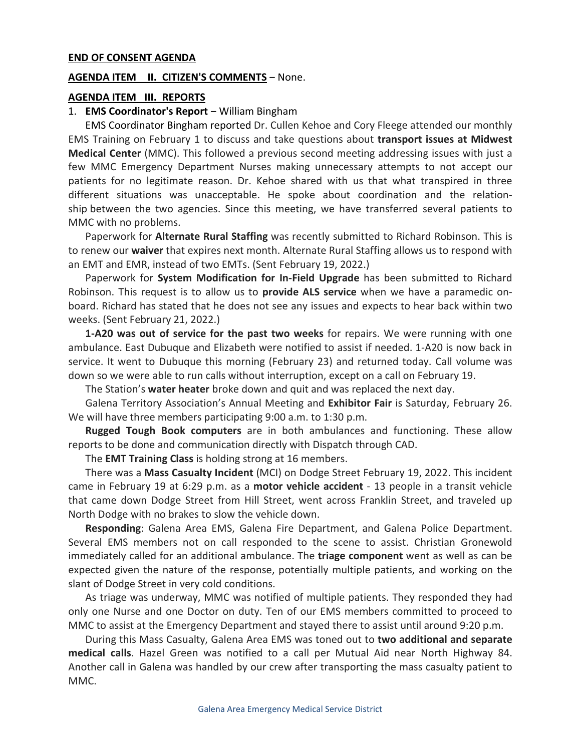#### END OF CONSENT AGENDA

#### AGENDA ITEM II. CITIZEN'S COMMENTS - None.

#### AGENDA ITEM III. REPORTS

#### 1. **EMS Coordinator's Report** – William Bingham

 EMS Coordinator Bingham reported Dr. Cullen Kehoe and Cory Fleege attended our monthly EMS Training on February 1 to discuss and take questions about transport issues at Midwest Medical Center (MMC). This followed a previous second meeting addressing issues with just a few MMC Emergency Department Nurses making unnecessary attempts to not accept our patients for no legitimate reason. Dr. Kehoe shared with us that what transpired in three different situations was unacceptable. He spoke about coordination and the relationship between the two agencies. Since this meeting, we have transferred several patients to MMC with no problems.

Paperwork for **Alternate Rural Staffing** was recently submitted to Richard Robinson. This is to renew our waiver that expires next month. Alternate Rural Staffing allows us to respond with an EMT and EMR, instead of two EMTs. (Sent February 19, 2022.)

Paperwork for System Modification for In-Field Upgrade has been submitted to Richard Robinson. This request is to allow us to **provide ALS service** when we have a paramedic onboard. Richard has stated that he does not see any issues and expects to hear back within two weeks. (Sent February 21, 2022.)

1-A20 was out of service for the past two weeks for repairs. We were running with one ambulance. East Dubuque and Elizabeth were notified to assist if needed. 1-A20 is now back in service. It went to Dubuque this morning (February 23) and returned today. Call volume was down so we were able to run calls without interruption, except on a call on February 19.

The Station's water heater broke down and quit and was replaced the next day.

Galena Territory Association's Annual Meeting and Exhibitor Fair is Saturday, February 26. We will have three members participating 9:00 a.m. to 1:30 p.m.

**Rugged Tough Book computers** are in both ambulances and functioning. These allow reports to be done and communication directly with Dispatch through CAD.

The **EMT Training Class** is holding strong at 16 members.

There was a Mass Casualty Incident (MCI) on Dodge Street February 19, 2022. This incident came in February 19 at 6:29 p.m. as a motor vehicle accident - 13 people in a transit vehicle that came down Dodge Street from Hill Street, went across Franklin Street, and traveled up North Dodge with no brakes to slow the vehicle down.

Responding: Galena Area EMS, Galena Fire Department, and Galena Police Department. Several EMS members not on call responded to the scene to assist. Christian Gronewold immediately called for an additional ambulance. The triage component went as well as can be expected given the nature of the response, potentially multiple patients, and working on the slant of Dodge Street in very cold conditions.

 As triage was underway, MMC was notified of multiple patients. They responded they had only one Nurse and one Doctor on duty. Ten of our EMS members committed to proceed to MMC to assist at the Emergency Department and stayed there to assist until around 9:20 p.m.

During this Mass Casualty, Galena Area EMS was toned out to two additional and separate medical calls. Hazel Green was notified to a call per Mutual Aid near North Highway 84. Another call in Galena was handled by our crew after transporting the mass casualty patient to MMC.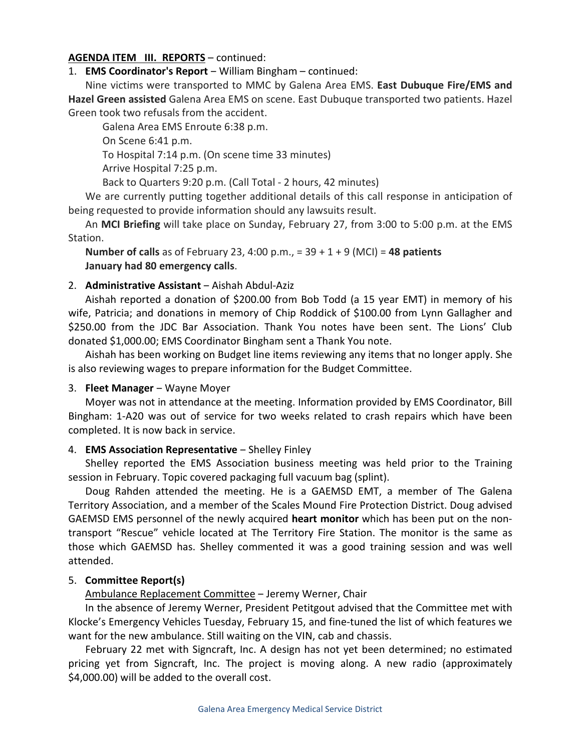## AGENDA ITEM III. REPORTS – continued:

1. EMS Coordinator's Report - William Bingham - continued:

 Nine victims were transported to MMC by Galena Area EMS. East Dubuque Fire/EMS and Hazel Green assisted Galena Area EMS on scene. East Dubuque transported two patients. Hazel Green took two refusals from the accident.

Galena Area EMS Enroute 6:38 p.m. On Scene 6:41 p.m. To Hospital 7:14 p.m. (On scene time 33 minutes) Arrive Hospital 7:25 p.m.

Back to Quarters 9:20 p.m. (Call Total - 2 hours, 42 minutes)

 We are currently putting together additional details of this call response in anticipation of being requested to provide information should any lawsuits result.

An MCI Briefing will take place on Sunday, February 27, from 3:00 to 5:00 p.m. at the EMS Station.

Number of calls as of February 23, 4:00 p.m., =  $39 + 1 + 9$  (MCI) = 48 patients January had 80 emergency calls.

### 2. **Administrative Assistant** – Aishah Abdul-Aziz

Aishah reported a donation of \$200.00 from Bob Todd (a 15 year EMT) in memory of his wife, Patricia; and donations in memory of Chip Roddick of \$100.00 from Lynn Gallagher and \$250.00 from the JDC Bar Association. Thank You notes have been sent. The Lions' Club donated \$1,000.00; EMS Coordinator Bingham sent a Thank You note.

Aishah has been working on Budget line items reviewing any items that no longer apply. She is also reviewing wages to prepare information for the Budget Committee.

### 3. Fleet Manager – Wayne Moyer

Moyer was not in attendance at the meeting. Information provided by EMS Coordinator, Bill Bingham: 1-A20 was out of service for two weeks related to crash repairs which have been completed. It is now back in service.

### 4. **EMS Association Representative** - Shelley Finley

 Shelley reported the EMS Association business meeting was held prior to the Training session in February. Topic covered packaging full vacuum bag (splint).

 Doug Rahden attended the meeting. He is a GAEMSD EMT, a member of The Galena Territory Association, and a member of the Scales Mound Fire Protection District. Doug advised GAEMSD EMS personnel of the newly acquired **heart monitor** which has been put on the nontransport "Rescue" vehicle located at The Territory Fire Station. The monitor is the same as those which GAEMSD has. Shelley commented it was a good training session and was well attended.

### 5. Committee Report(s)

Ambulance Replacement Committee - Jeremy Werner, Chair

In the absence of Jeremy Werner, President Petitgout advised that the Committee met with Klocke's Emergency Vehicles Tuesday, February 15, and fine-tuned the list of which features we want for the new ambulance. Still waiting on the VIN, cab and chassis.

 February 22 met with Signcraft, Inc. A design has not yet been determined; no estimated pricing yet from Signcraft, Inc. The project is moving along. A new radio (approximately \$4,000.00) will be added to the overall cost.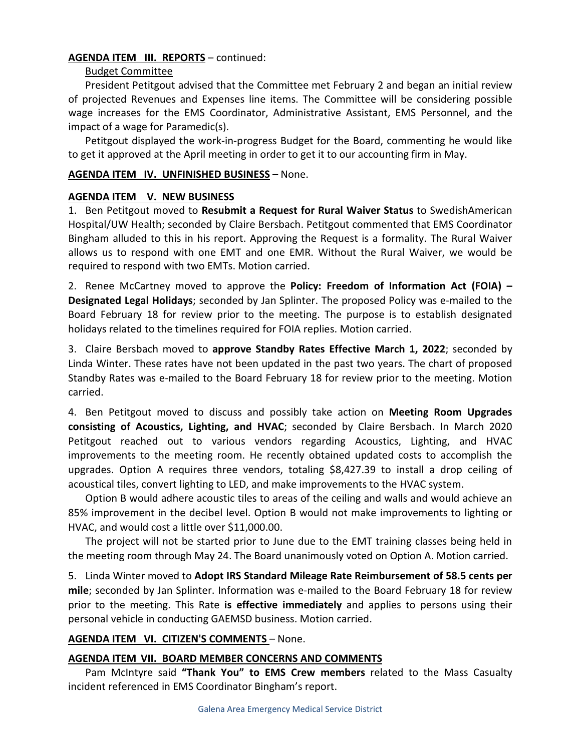## AGENDA ITEM III. REPORTS - continued:

### Budget Committee

President Petitgout advised that the Committee met February 2 and began an initial review of projected Revenues and Expenses line items. The Committee will be considering possible wage increases for the EMS Coordinator, Administrative Assistant, EMS Personnel, and the impact of a wage for Paramedic(s).

Petitgout displayed the work-in-progress Budget for the Board, commenting he would like to get it approved at the April meeting in order to get it to our accounting firm in May.

### AGENDA ITEM IV. UNFINISHED BUSINESS - None.

#### AGENDA ITEM V. NEW BUSINESS

1. Ben Petitgout moved to Resubmit a Request for Rural Waiver Status to SwedishAmerican Hospital/UW Health; seconded by Claire Bersbach. Petitgout commented that EMS Coordinator Bingham alluded to this in his report. Approving the Request is a formality. The Rural Waiver allows us to respond with one EMT and one EMR. Without the Rural Waiver, we would be required to respond with two EMTs. Motion carried.

2. Renee McCartney moved to approve the Policy: Freedom of Information Act (FOIA) – Designated Legal Holidays; seconded by Jan Splinter. The proposed Policy was e-mailed to the Board February 18 for review prior to the meeting. The purpose is to establish designated holidays related to the timelines required for FOIA replies. Motion carried.

3. Claire Bersbach moved to approve Standby Rates Effective March 1, 2022; seconded by Linda Winter. These rates have not been updated in the past two years. The chart of proposed Standby Rates was e-mailed to the Board February 18 for review prior to the meeting. Motion carried.

4. Ben Petitgout moved to discuss and possibly take action on **Meeting Room Upgrades** consisting of Acoustics, Lighting, and HVAC; seconded by Claire Bersbach. In March 2020 Petitgout reached out to various vendors regarding Acoustics, Lighting, and HVAC improvements to the meeting room. He recently obtained updated costs to accomplish the upgrades. Option A requires three vendors, totaling \$8,427.39 to install a drop ceiling of acoustical tiles, convert lighting to LED, and make improvements to the HVAC system.

 Option B would adhere acoustic tiles to areas of the ceiling and walls and would achieve an 85% improvement in the decibel level. Option B would not make improvements to lighting or HVAC, and would cost a little over \$11,000.00.

 The project will not be started prior to June due to the EMT training classes being held in the meeting room through May 24. The Board unanimously voted on Option A. Motion carried.

5. Linda Winter moved to Adopt IRS Standard Mileage Rate Reimbursement of 58.5 cents per mile; seconded by Jan Splinter. Information was e-mailed to the Board February 18 for review prior to the meeting. This Rate is effective immediately and applies to persons using their personal vehicle in conducting GAEMSD business. Motion carried.

### AGENDA ITEM VI. CITIZEN'S COMMENTS - None.

### AGENDA ITEM VII. BOARD MEMBER CONCERNS AND COMMENTS

Pam McIntyre said "Thank You" to EMS Crew members related to the Mass Casualty incident referenced in EMS Coordinator Bingham's report.